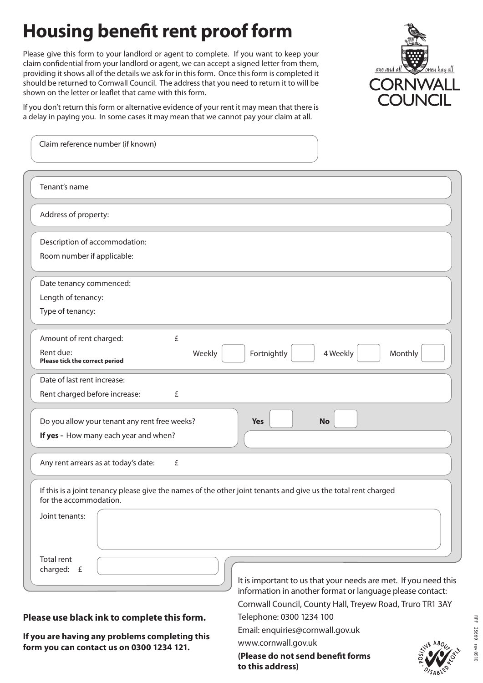## **Housing benefit rent proof form**

Please give this form to your landlord or agent to complete. If you want to keep your claim confidential from your landlord or agent, we can accept a signed letter from them, providing it shows all of the details we ask for in this form. Once this form is completed it should be returned to Cornwall Council. The address that you need to return it to will be shown on the letter or leaflet that came with this form.



If you don't return this form or alternative evidence of your rent it may mean that there is a delay in paying you. In some cases it may mean that we cannot pay your claim at all.

| Claim reference number (if known)                                                                                                        |                                                                 |
|------------------------------------------------------------------------------------------------------------------------------------------|-----------------------------------------------------------------|
| Tenant's name                                                                                                                            |                                                                 |
| Address of property:                                                                                                                     |                                                                 |
| Description of accommodation:                                                                                                            |                                                                 |
| Room number if applicable:                                                                                                               |                                                                 |
| Date tenancy commenced:                                                                                                                  |                                                                 |
| Length of tenancy:                                                                                                                       |                                                                 |
| Type of tenancy:                                                                                                                         |                                                                 |
| Amount of rent charged:<br>£                                                                                                             |                                                                 |
| Rent due:<br>Weekly<br>Please tick the correct period                                                                                    | Fortnightly<br>Monthly<br>4 Weekly                              |
| Date of last rent increase:                                                                                                              |                                                                 |
| Rent charged before increase:<br>£                                                                                                       |                                                                 |
| Do you allow your tenant any rent free weeks?                                                                                            | <b>No</b><br><b>Yes</b>                                         |
| If yes - How many each year and when?                                                                                                    |                                                                 |
| Any rent arrears as at today's date:<br>£                                                                                                |                                                                 |
| If this is a joint tenancy please give the names of the other joint tenants and give us the total rent charged<br>for the accommodation. |                                                                 |
| Joint tenants:                                                                                                                           |                                                                 |
| <b>Total rent</b><br>charged: £                                                                                                          | It is important to us that your needs are met. If you need this |
|                                                                                                                                          | information in another format or language please contact:       |
|                                                                                                                                          | Cornwall Council, County Hall, Treyew Road, Truro TR1 3AY       |
| Please use black ink to complete this form.                                                                                              | Telephone: 0300 1234 100                                        |
|                                                                                                                                          | Email: enquiries@cornwall.gov.uk                                |

**If you are having any problems completing this form you can contact us on 0300 1234 121.**

www.cornwall.gov.uk **(Please do not send benefit forms** 

**to this address)**



RPF 25669 rev 0910

25669 rev 0910

 $\frac{1}{2}$